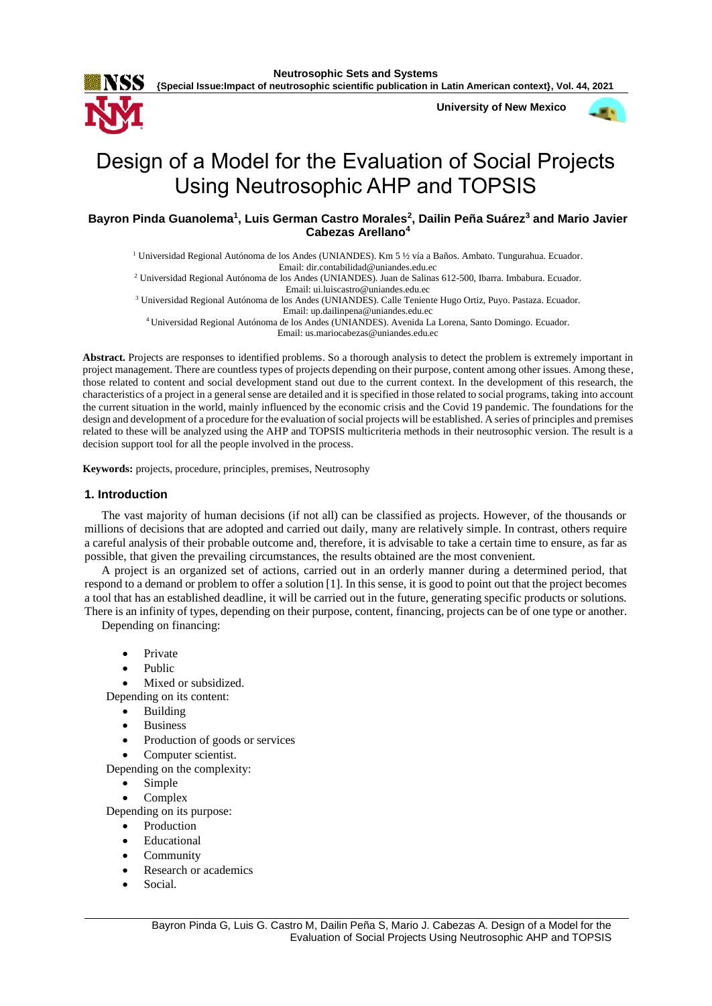

**{Special Issue:Impact of neutrosophic scientific publication in Latin American context}, Vol. 44, 2021**

**University of New Mexico**



# Design of a Model for the Evaluation of Social Projects Using Neutrosophic AHP and TOPSIS

# **Bayron Pinda Guanolema<sup>1</sup> , Luis German Castro Morales<sup>2</sup> , Dailin Peña Suárez<sup>3</sup> and Mario Javier Cabezas Arellano<sup>4</sup>**

<sup>1</sup> Universidad Regional Autónoma de los Andes (UNIANDES). Km 5 ½ vía a Baños. Ambato. Tungurahua. Ecuador. Email: [dir.contabilidad@uniandes.edu.ec](mailto:dir.contabilidad@uniandes.edu.ec)

<sup>2</sup> Universidad Regional Autónoma de los Andes (UNIANDES). Juan de Salinas 612-500, Ibarra. Imbabura. Ecuador. Email: [ui.luiscastro@uniandes.edu.ec](mailto:ui.luiscastro@uniandes.edu.ec)

<sup>3</sup> Universidad Regional Autónoma de los Andes (UNIANDES). Calle Teniente Hugo Ortiz, Puyo. Pastaza. Ecuador. Email[: up.dailinpena@uniandes.edu.ec](mailto:up.dailinpena@uniandes.edu.ec)

<sup>4</sup>Universidad Regional Autónoma de los Andes (UNIANDES). Avenida La Lorena, Santo Domingo. Ecuador. Email[: us.mariocabezas@uniandes.edu.ec](mailto:us.mariocabezas@uniandes.edu.ec)

**Abstract.** Projects are responses to identified problems. So a thorough analysis to detect the problem is extremely important in project management. There are countless types of projects depending on their purpose, content among other issues. Among these, those related to content and social development stand out due to the current context. In the development of this research, the characteristics of a project in a general sense are detailed and it is specified in those related to social programs, taking into account the current situation in the world, mainly influenced by the economic crisis and the Covid 19 pandemic. The foundations for the design and development of a procedure for the evaluation of social projects will be established. A series of principles and premises related to these will be analyzed using the AHP and TOPSIS multicriteria methods in their neutrosophic version. The result is a decision support tool for all the people involved in the process.

**Keywords:** projects, procedure, principles, premises, Neutrosophy

## **1. Introduction**

The vast majority of human decisions (if not all) can be classified as projects. However, of the thousands or millions of decisions that are adopted and carried out daily, many are relatively simple. In contrast, others require a careful analysis of their probable outcome and, therefore, it is advisable to take a certain time to ensure, as far as possible, that given the prevailing circumstances, the results obtained are the most convenient.

A project is an organized set of actions, carried out in an orderly manner during a determined period, that respond to a demand or problem to offer a solution [\[1\]](#page-10-0). In this sense, it is good to point out that the project becomes a tool that has an established deadline, it will be carried out in the future, generating specific products or solutions. There is an infinity of types, depending on their purpose, content, financing, projects can be of one type or another.

Depending on financing:

- **Private**
- Public

Mixed or subsidized.

Depending on its content:

- **Building**
- **Business**
- Production of goods or services
- Computer scientist.

Depending on the complexity:

- Simple
- Complex

Depending on its purpose:

- **Production**
- **Educational**
- **Community**
- Research or academics
- Social.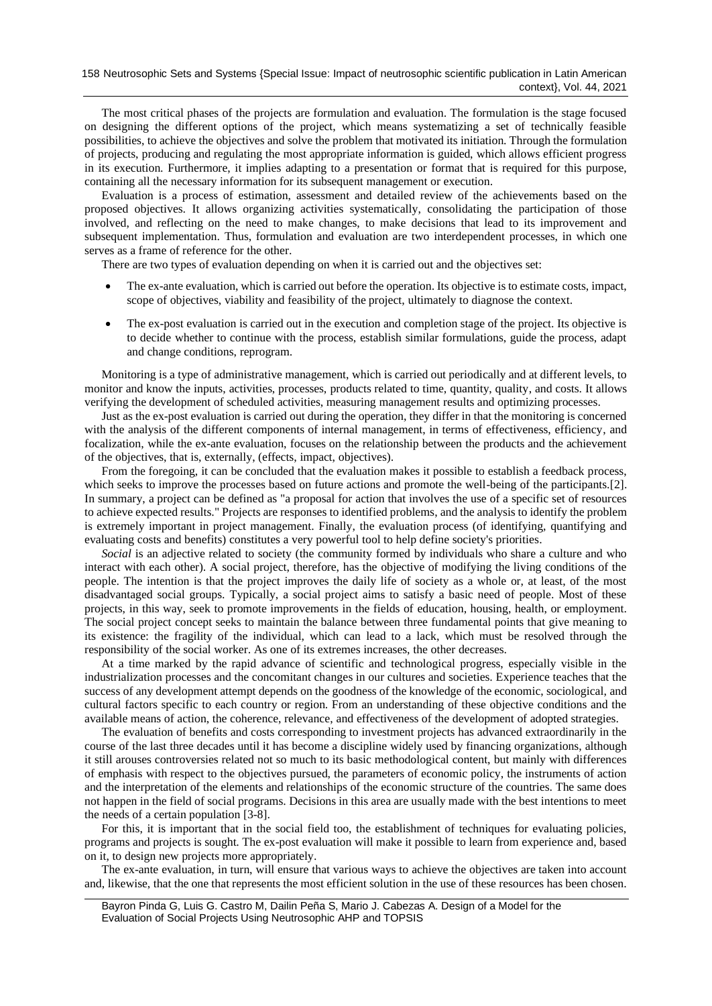The most critical phases of the projects are formulation and evaluation. The formulation is the stage focused on designing the different options of the project, which means systematizing a set of technically feasible possibilities, to achieve the objectives and solve the problem that motivated its initiation. Through the formulation of projects, producing and regulating the most appropriate information is guided, which allows efficient progress in its execution. Furthermore, it implies adapting to a presentation or format that is required for this purpose, containing all the necessary information for its subsequent management or execution.

Evaluation is a process of estimation, assessment and detailed review of the achievements based on the proposed objectives. It allows organizing activities systematically, consolidating the participation of those involved, and reflecting on the need to make changes, to make decisions that lead to its improvement and subsequent implementation. Thus, formulation and evaluation are two interdependent processes, in which one serves as a frame of reference for the other.

There are two types of evaluation depending on when it is carried out and the objectives set:

- The ex-ante evaluation, which is carried out before the operation. Its objective is to estimate costs, impact, scope of objectives, viability and feasibility of the project, ultimately to diagnose the context.
- The ex-post evaluation is carried out in the execution and completion stage of the project. Its objective is to decide whether to continue with the process, establish similar formulations, guide the process, adapt and change conditions, reprogram.

Monitoring is a type of administrative management, which is carried out periodically and at different levels, to monitor and know the inputs, activities, processes, products related to time, quantity, quality, and costs. It allows verifying the development of scheduled activities, measuring management results and optimizing processes.

Just as the ex-post evaluation is carried out during the operation, they differ in that the monitoring is concerned with the analysis of the different components of internal management, in terms of effectiveness, efficiency, and focalization, while the ex-ante evaluation, focuses on the relationship between the products and the achievement of the objectives, that is, externally, (effects, impact, objectives).

From the foregoing, it can be concluded that the evaluation makes it possible to establish a feedback process, which seeks to improve the processes based on future actions and promote the well-being of the participants.<sup>[\[2\]](#page-10-1)</sup>. In summary, a project can be defined as "a proposal for action that involves the use of a specific set of resources to achieve expected results." Projects are responses to identified problems, and the analysis to identify the problem is extremely important in project management. Finally, the evaluation process (of identifying, quantifying and evaluating costs and benefits) constitutes a very powerful tool to help define society's priorities.

*[Social](https://definicion.de/social)* is an adjective related to [society \(](https://definicion.de/sociedad)the community formed by individuals who share a culture and who interact with each other). A social project, therefore, has the objective of modifying the living conditions of the [people.](https://definicion.de/persona) The intention is that the project improves the daily life of society as a whole or, at least, of the most disadvantaged social groups. Typically, a social project aims to satisfy a basic need of people. Most of these projects, in this way, seek to promote improvements in the fields of [education,](https://definicion.de/educacion) housing, health, or employment. The social project concept seeks to maintain the balance between three fundamental points that give meaning to its existence: the fragility of the individual, which can lead to a [lack,](https://definicion.de/carencia) which must be resolved through the responsibility of the social worker. As one of its extremes increases, the other decreases.

At a time marked by the rapid advance of scientific and technological progress, especially visible in the industrialization processes and the concomitant changes in our cultures and societies. Experience teaches that the success of any development attempt depends on the goodness of the knowledge of the economic, sociological, and cultural factors specific to each country or region. From an understanding of these objective conditions and the available means of action, the coherence, relevance, and effectiveness of the development of adopted strategies.

The evaluation of benefits and costs corresponding to investment projects has advanced extraordinarily in the course of the last three decades until it has become a discipline widely used by financing organizations, although it still arouses controversies related not so much to its basic methodological content, but mainly with differences of emphasis with respect to the objectives pursued, the parameters of economic policy, the instruments of action and the interpretation of the elements and relationships of the economic structure of the countries. The same does not happen in the field of social programs. Decisions in this area are usually made with the best intentions to meet the needs of a certain population [\[3-8\]](#page-10-2).

For this, it is important that in the social field too, the establishment of techniques for evaluating policies, programs and projects is sought. The ex-post evaluation will make it possible to learn from experience and, based on it, to design new projects more appropriately.

The ex-ante evaluation, in turn, will ensure that various ways to achieve the objectives are taken into account and, likewise, that the one that represents the most efficient solution in the use of these resources has been chosen.

Bayron Pinda G, Luis G. Castro M, Dailin Peña S, Mario J. Cabezas A. Design of a Model for the Evaluation of Social Projects Using Neutrosophic AHP and TOPSIS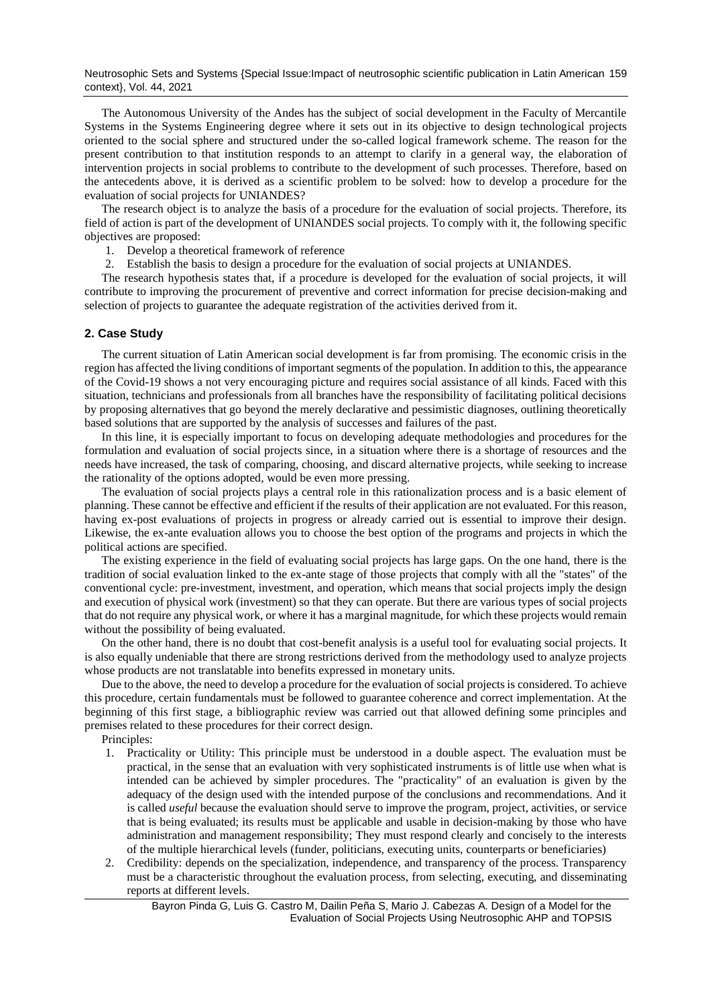Neutrosophic Sets and Systems {Special Issue:Impact of neutrosophic scientific publication in Latin American 159 context}, Vol. 44, 2021

The Autonomous University of the Andes has the subject of social development in the Faculty of Mercantile Systems in the Systems Engineering degree where it sets out in its objective to design technological projects oriented to the social sphere and structured under the so-called logical framework scheme. The reason for the present contribution to that institution responds to an attempt to clarify in a general way, the elaboration of intervention projects in social problems to contribute to the development of such processes. Therefore, based on the antecedents above, it is derived as a scientific problem to be solved: how to develop a procedure for the evaluation of social projects for UNIANDES?

The research object is to analyze the basis of a procedure for the evaluation of social projects. Therefore, its field of action is part of the development of UNIANDES social projects. To comply with it, the following specific objectives are proposed:

1. Develop a theoretical framework of reference

2. Establish the basis to design a procedure for the evaluation of social projects at UNIANDES.

The research hypothesis states that, if a procedure is developed for the evaluation of social projects, it will contribute to improving the procurement of preventive and correct information for precise decision-making and selection of projects to guarantee the adequate registration of the activities derived from it.

## **2. Case Study**

The current situation of Latin American social development is far from promising. The economic crisis in the region has affected the living conditions of important segments of the population. In addition to this, the appearance of the Covid-19 shows a not very encouraging picture and requires social assistance of all kinds. Faced with this situation, technicians and professionals from all branches have the responsibility of facilitating political decisions by proposing alternatives that go beyond the merely declarative and pessimistic diagnoses, outlining theoretically based solutions that are supported by the analysis of successes and failures of the past.

In this line, it is especially important to focus on developing adequate methodologies and procedures for the formulation and evaluation of social projects since, in a situation where there is a shortage of resources and the needs have increased, the task of comparing, choosing, and discard alternative projects, while seeking to increase the rationality of the options adopted, would be even more pressing.

The evaluation of social projects plays a central role in this rationalization process and is a basic element of planning. These cannot be effective and efficient if the results of their application are not evaluated. For this reason, having ex-post evaluations of projects in progress or already carried out is essential to improve their design. Likewise, the ex-ante evaluation allows you to choose the best option of the programs and projects in which the political actions are specified.

The existing experience in the field of evaluating social projects has large gaps. On the one hand, there is the tradition of social evaluation linked to the ex-ante stage of those projects that comply with all the "states" of the conventional cycle: pre-investment, investment, and operation, which means that social projects imply the design and execution of physical work (investment) so that they can operate. But there are various types of social projects that do not require any physical work, or where it has a marginal magnitude, for which these projects would remain without the possibility of being evaluated.

On the other hand, there is no doubt that cost-benefit analysis is a useful tool for evaluating social projects. It is also equally undeniable that there are strong restrictions derived from the methodology used to analyze projects whose products are not translatable into benefits expressed in monetary units.

Due to the above, the need to develop a procedure for the evaluation of social projects is considered. To achieve this procedure, certain fundamentals must be followed to guarantee coherence and correct implementation. At the beginning of this first stage, a bibliographic review was carried out that allowed defining some principles and premises related to these procedures for their correct design.

Principles:

- 1. Practicality or Utility: This principle must be understood in a double aspect. The evaluation must be practical, in the sense that an evaluation with very sophisticated instruments is of little use when what is intended can be achieved by simpler procedures. The "practicality" of an evaluation is given by the adequacy of the design used with the intended purpose of the conclusions and recommendations. And it is called *useful* because the evaluation should serve to improve the program, project, activities, or service that is being evaluated; its results must be applicable and usable in decision-making by those who have administration and management responsibility; They must respond clearly and concisely to the interests of the multiple hierarchical levels (funder, politicians, executing units, counterparts or beneficiaries)
- 2. Credibility: depends on the specialization, independence, and transparency of the process. Transparency must be a characteristic throughout the evaluation process, from selecting, executing, and disseminating reports at different levels.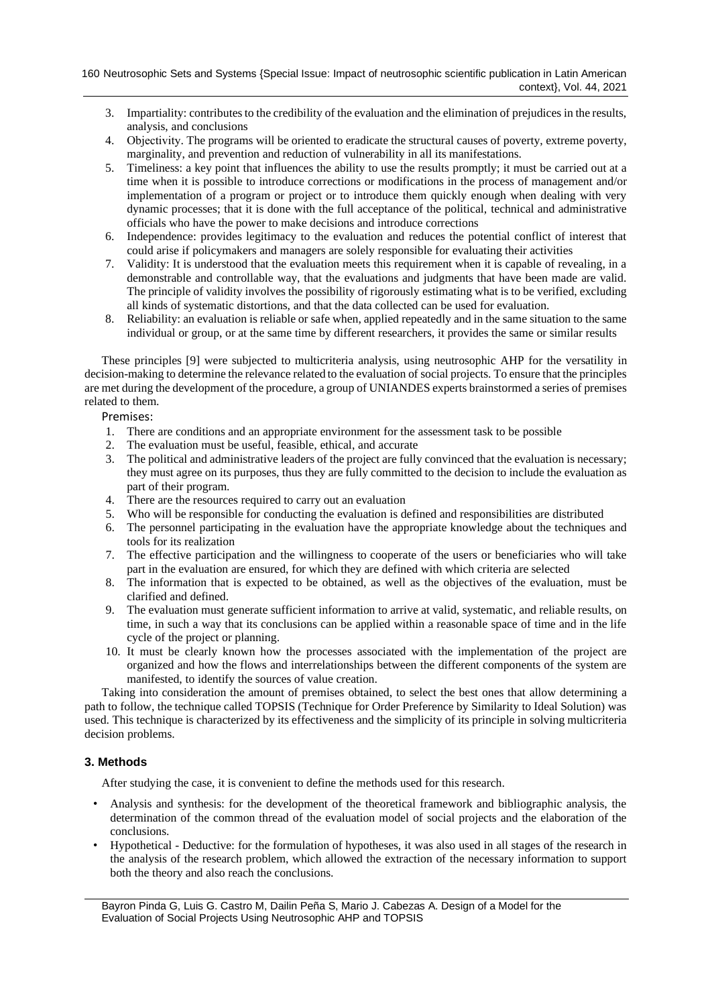- 3. Impartiality: contributes to the credibility of the evaluation and the elimination of prejudices in the results, analysis, and conclusions
- 4. Objectivity. The programs will be oriented to eradicate the structural causes of poverty, extreme poverty, marginality, and prevention and reduction of vulnerability in all its manifestations.
- 5. Timeliness: a key point that influences the ability to use the results promptly; it must be carried out at a time when it is possible to introduce corrections or modifications in the process of management and/or implementation of a program or project or to introduce them quickly enough when dealing with very dynamic processes; that it is done with the full acceptance of the political, technical and administrative officials who have the power to make decisions and introduce corrections
- 6. Independence: provides legitimacy to the evaluation and reduces the potential conflict of interest that could arise if policymakers and managers are solely responsible for evaluating their activities
- 7. Validity: It is understood that the evaluation meets this requirement when it is capable of revealing, in a demonstrable and controllable way, that the evaluations and judgments that have been made are valid. The principle of validity involves the possibility of rigorously estimating what is to be verified, excluding all kinds of systematic distortions, and that the data collected can be used for evaluation.
- 8. Reliability: an evaluation is reliable or safe when, applied repeatedly and in the same situation to the same individual or group, or at the same time by different researchers, it provides the same or similar results

These principles [\[9\]](#page-11-0) were subjected to multicriteria analysis, using neutrosophic AHP for the versatility in decision-making to determine the relevance related to the evaluation of social projects. To ensure that the principles are met during the development of the procedure, a group of UNIANDES experts brainstormed a series of premises related to them.

# Premises:

- 1. There are conditions and an appropriate environment for the assessment task to be possible
- 2. The evaluation must be useful, feasible, ethical, and accurate
- 3. The political and administrative leaders of the project are fully convinced that the evaluation is necessary; they must agree on its purposes, thus they are fully committed to the decision to include the evaluation as part of their program.
- 4. There are the resources required to carry out an evaluation
- 5. Who will be responsible for conducting the evaluation is defined and responsibilities are distributed
- 6. The personnel participating in the evaluation have the appropriate knowledge about the techniques and tools for its realization
- 7. The effective participation and the willingness to cooperate of the users or beneficiaries who will take part in the evaluation are ensured, for which they are defined with which criteria are selected
- 8. The information that is expected to be obtained, as well as the objectives of the evaluation, must be clarified and defined.
- 9. The evaluation must generate sufficient information to arrive at valid, systematic, and reliable results, on time, in such a way that its conclusions can be applied within a reasonable space of time and in the life cycle of the project or planning.
- 10. It must be clearly known how the processes associated with the implementation of the project are organized and how the flows and interrelationships between the different components of the system are manifested, to identify the sources of value creation.

Taking into consideration the amount of premises obtained, to select the best ones that allow determining a path to follow, the technique called TOPSIS (Technique for Order Preference by Similarity to Ideal Solution) was used. This technique is characterized by its effectiveness and the simplicity of its principle in solving multicriteria decision problems.

# **3. Methods**

After studying the case, it is convenient to define the methods used for this research.

- Analysis and synthesis: for the development of the theoretical framework and bibliographic analysis, the determination of the common thread of the evaluation model of social projects and the elaboration of the conclusions.
- Hypothetical Deductive: for the formulation of hypotheses, it was also used in all stages of the research in the analysis of the research problem, which allowed the extraction of the necessary information to support both the theory and also reach the conclusions.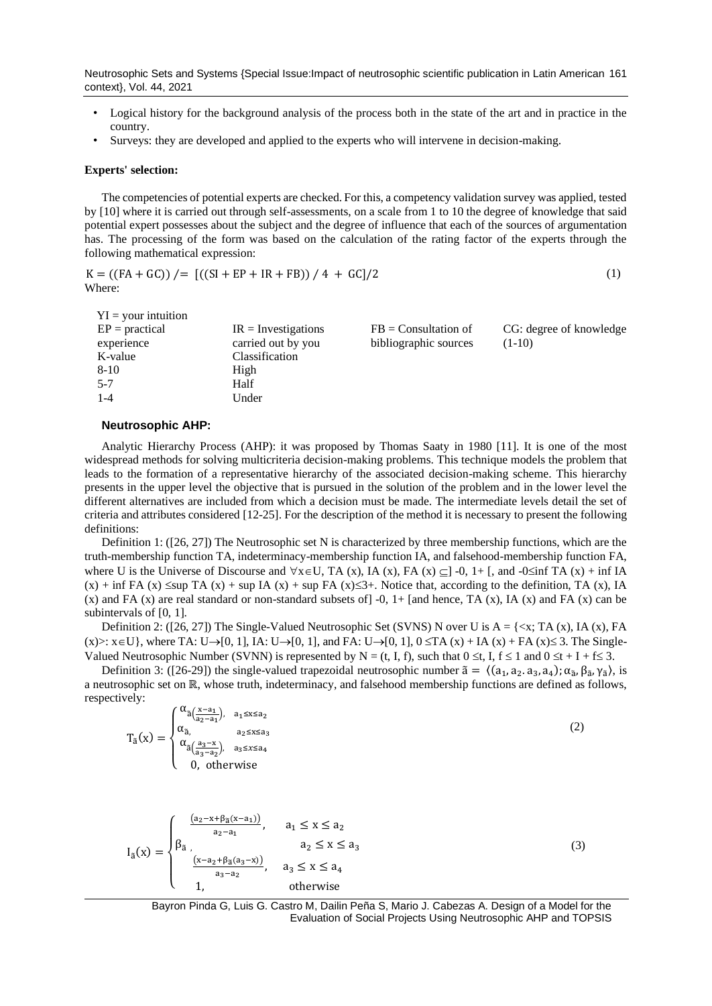Neutrosophic Sets and Systems {Special Issue:Impact of neutrosophic scientific publication in Latin American 161 context}, Vol. 44, 2021

- Logical history for the background analysis of the process both in the state of the art and in practice in the country.
- Surveys: they are developed and applied to the experts who will intervene in decision-making.

#### **Experts' selection:**

The competencies of potential experts are checked. For this, a competency validation survey was applied, tested by [\[10\]](#page-11-1) where it is carried out through self-assessments, on a scale from 1 to 10 the degree of knowledge that said potential expert possesses about the subject and the degree of influence that each of the sources of argumentation has. The processing of the form was based on the calculation of the rating factor of the experts through the following mathematical expression:

$$
K = ((FA + GC)) / = [((SI + EP + IR + FB)) / 4 + GC]/2
$$
\n(1)

\nWhere:

| $EP = practical$<br>$FB =$ Consultation of<br>$IR = Investigations$<br>carried out by you<br>bibliographic sources<br>$(1-10)$<br>experience<br>Classification<br>K-value<br>$8-10$<br>High<br>Half<br>$5 - 7$ | $YI = your intuition$ |       |                         |
|----------------------------------------------------------------------------------------------------------------------------------------------------------------------------------------------------------------|-----------------------|-------|-------------------------|
|                                                                                                                                                                                                                |                       |       | CG: degree of knowledge |
|                                                                                                                                                                                                                |                       |       |                         |
|                                                                                                                                                                                                                |                       |       |                         |
|                                                                                                                                                                                                                |                       |       |                         |
|                                                                                                                                                                                                                |                       |       |                         |
|                                                                                                                                                                                                                | 1-4                   | Under |                         |

#### **Neutrosophic AHP:**

Analytic Hierarchy Process (AHP): it was proposed by Thomas Saaty in 1980 [\[11\]](#page-11-2). It is one of the most widespread methods for solving multicriteria decision-making problems. This technique models the problem that leads to the formation of a representative hierarchy of the associated decision-making scheme. This hierarchy presents in the upper level the objective that is pursued in the solution of the problem and in the lower level the different alternatives are included from which a decision must be made. The intermediate levels detail the set of criteria and attributes considered [\[12-25\]](#page-11-3). For the description of the method it is necessary to present the following definitions:

Definition 1: ([\[26,](#page-11-4) [27\]](#page-11-5)) The Neutrosophic set N is characterized by three membership functions, which are the truth-membership function TA, indeterminacy-membership function IA, and falsehood-membership function FA, where U is the Universe of Discourse and  $\forall x \in U$ , TA (x), IA (x), FA (x)  $\subseteq$  ] -0, 1+ [, and -0 $\leq$ inf TA (x) + inf IA  $(x)$  + inf FA  $(x)$   $\leq$ sup TA  $(x)$  + sup IA  $(x)$  + sup FA  $(x) \leq 3+$ . Notice that, according to the definition, TA  $(x)$ , IA (x) and FA (x) are real standard or non-standard subsets of  $] -0$ ,  $1+$  [and hence, TA (x), IA (x) and FA (x) can be subintervals of [0, 1].

Definition 2: ([\[26,](#page-11-4) [27\]](#page-11-5)) The Single-Valued Neutrosophic Set (SVNS) N over U is  $A = \{ \langle x, TA(x), IA(x), FA(x) \rangle\}$  $(x)$ :  $x \in U$ , where TA:  $U \rightarrow [0, 1]$ , IA:  $U \rightarrow [0, 1]$ , and FA:  $U \rightarrow [0, 1]$ ,  $0 \leq TA(x) + IA(x) + FA(x) \leq 3$ . The Single-Valued Neutrosophic Number (SVNN) is represented by N = (t, I, f), such that  $0 \le t$ , I,  $f \le 1$  and  $0 \le t + I + f \le 3$ .

Definition 3: ([\[26-29\]](#page-11-4)) the single-valued trapezoidal neutrosophic number  $\tilde{a} = \langle (a_1, a_2, a_3, a_4), \alpha_{\tilde{a}}, \beta_{\tilde{a}}, \gamma_{\tilde{a}} \rangle$ , is a neutrosophic set on ℝ, whose truth, indeterminacy, and falsehood membership functions are defined as follows, respectively:

$$
T_{\tilde{a}}(x) = \begin{cases} \alpha_{\tilde{a}\left(\frac{x-a_1}{a_2-a_1}\right), & a_1 \le x \le a_2\\ \alpha_{\tilde{a},a_2 \le x \le a_3}\\ \alpha_{\tilde{a}\left(\frac{a_3-x}{a_3-a_2}\right), & a_3 \le x \le a_4\\ 0, \text{ otherwise} \end{cases}
$$
(2)

$$
I_{\tilde{a}}(x) = \begin{cases} \n\frac{(a_2 - x + \beta_{\tilde{a}}(x - a_1))}{a_2 - a_1}, & a_1 \leq x \leq a_2\\ \n\beta_{\tilde{a}}, & a_2 \leq x \leq a_3\\ \n\frac{(x - a_2 + \beta_{\tilde{a}}(a_3 - x))}{a_3 - a_2}, & a_3 \leq x \leq a_4\\ \n1, & \text{otherwise} \n\end{cases}
$$
\n(3)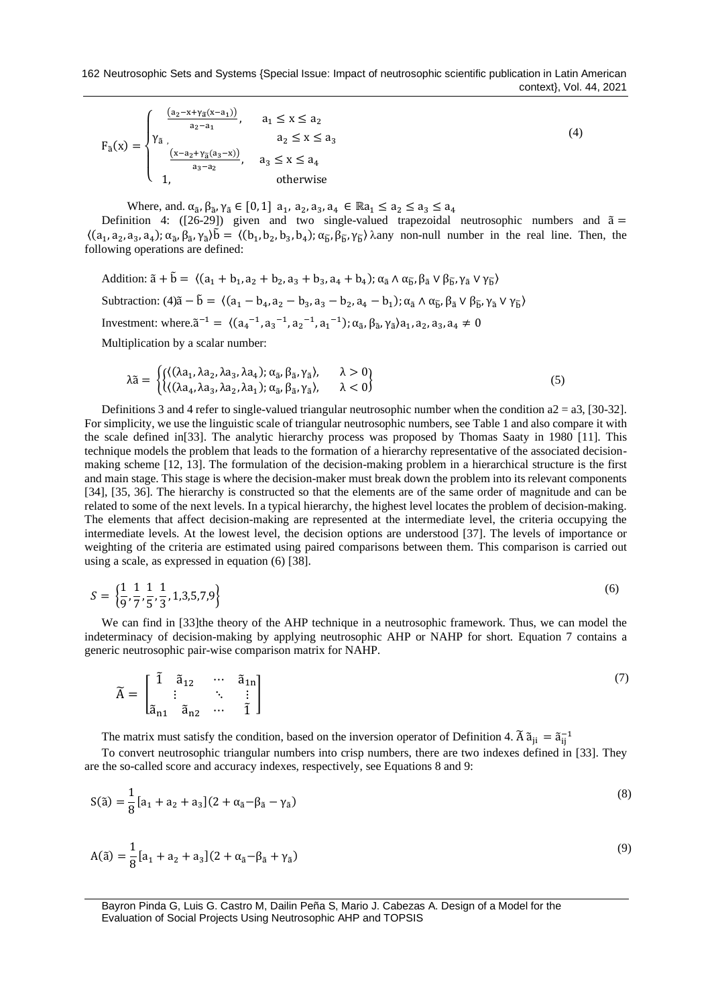$$
F_{\tilde{a}}(x) = \begin{cases} \frac{(a_2 - x + \gamma_{\tilde{a}}(x - a_1))}{a_2 - a_1}, & a_1 \le x \le a_2\\ \gamma_{\tilde{a}}, & a_2 \le x \le a_3\\ \frac{(x - a_2 + \gamma_{\tilde{a}}(a_3 - x))}{a_3 - a_2}, & a_3 \le x \le a_4\\ 1, & \text{otherwise} \end{cases}
$$
(4)

Where, and.  $\alpha_{\tilde{a}}, \beta_{\tilde{a}}, \gamma_{\tilde{a}} \in [0,1]$  a<sub>1</sub>, a<sub>2</sub>, a<sub>3</sub>, a<sub>4</sub>  $\in \mathbb{R}$ a<sub>1</sub>  $\leq a_2 \leq a_3 \leq a_4$ 

Definition 4:  $([26-29])$  $([26-29])$  $([26-29])$  given and two single-valued trapezoidal neutrosophic numbers and  $\tilde{a} =$  $\langle (a_1, a_2, a_3, a_4) ; \alpha_{\tilde{a}}, \beta_{\tilde{a}}, \gamma_{\tilde{a}} \rangle \tilde{b} = \langle (b_1, b_2, b_3, b_4) ; \alpha_{\tilde{b}}, \beta_{\tilde{b}}, \gamma_{\tilde{b}} \rangle$   $\lambda$ any non-null number in the real line. Then, the following operations are defined:

Addition:  $\tilde{a} + \tilde{b} = \langle (a_1 + b_1, a_2 + b_2, a_3 + b_3, a_4 + b_4); \alpha_{\tilde{a}} \wedge \alpha_{\tilde{b}}, \beta_{\tilde{a}} \vee \beta_{\tilde{b}}, \gamma_{\tilde{a}} \vee \gamma_{\tilde{b}} \rangle$ Subtraction:  $(4)\tilde{a} - \tilde{b} = \langle (a_1 - b_4, a_2 - b_3, a_3 - b_2, a_4 - b_1) \rangle$ ;  $\alpha_{\tilde{a}} \wedge \alpha_{\tilde{b}}, \beta_{\tilde{a}} \vee \beta_{\tilde{b}}, \gamma_{\tilde{a}} \vee \gamma_{\tilde{b}} \rangle$ Investment: where. $\tilde{a}^{-1} = \langle (a_4^{-1}, a_3^{-1}, a_2^{-1}, a_1^{-1}) : \alpha_{\tilde{a}}, \beta_{\tilde{a}}, \gamma_{\tilde{a}} \rangle a_1, a_2, a_3, a_4 \neq 0$ 

Multiplication by a scalar number:

$$
\lambda \tilde{a} = \begin{cases}\n\{(\lambda a_1, \lambda a_2, \lambda a_3, \lambda a_4); \alpha_{\tilde{a}}, \beta_{\tilde{a}}, \gamma_{\tilde{a}}\}, & \lambda > 0 \\
\{(\lambda a_4, \lambda a_3, \lambda a_2, \lambda a_1); \alpha_{\tilde{a}}, \beta_{\tilde{a}}, \gamma_{\tilde{a}}\}, & \lambda < 0\n\end{cases}
$$
\n(5)

Definitions 3 and 4 refer to single-valued triangular neutrosophic number when the condition  $a2 = a3$ , [\[30-32\]](#page-11-6). For simplicity, we use the linguistic scale of triangular neutrosophic numbers, see Table 1 and also compare it with the scale defined in[\[33\]](#page-12-0). The analytic hierarchy process was proposed by Thomas Saaty in 1980 [\[11\]](#page-11-2). This technique models the problem that leads to the formation of a hierarchy representative of the associated decisionmaking scheme [\[12,](#page-11-3) [13\]](#page-11-7). The formulation of the decision-making problem in a hierarchical structure is the first and main stage. This stage is where the decision-maker must break down the problem into its relevant components [\[34\]](#page-12-1), [\[35,](#page-12-2) [36\]](#page-12-3). The hierarchy is constructed so that the elements are of the same order of magnitude and can be related to some of the next levels. In a typical hierarchy, the highest level locates the problem of decision-making. The elements that affect decision-making are represented at the intermediate level, the criteria occupying the intermediate levels. At the lowest level, the decision options are understood [\[37\]](#page-12-4). The levels of importance or weighting of the criteria are estimated using paired comparisons between them. This comparison is carried out using a scale, as expressed in equation (6) [\[38\]](#page-12-5).

$$
S = \left\{ \frac{1}{9}, \frac{1}{7}, \frac{1}{5}, \frac{1}{3}, 1, 3, 5, 7, 9 \right\}
$$
 (6)

We can find in [\[33\]](#page-12-0)the theory of the AHP technique in a neutrosophic framework. Thus, we can model the indeterminacy of decision-making by applying neutrosophic AHP or NAHP for short. Equation 7 contains a generic neutrosophic pair-wise comparison matrix for NAHP.

$$
\widetilde{A} = \begin{bmatrix} \widetilde{1} & \widetilde{a}_{12} & \cdots & \widetilde{a}_{1n} \\ \vdots & \ddots & \vdots \\ \widetilde{a}_{n1} & \widetilde{a}_{n2} & \cdots & \widetilde{1} \end{bmatrix}
$$
\n(7)

The matrix must satisfy the condition, based on the inversion operator of Definition 4.  $\tilde{A} \tilde{a}_{ji} = \tilde{a}_{ij}^{-1}$ 

To convert neutrosophic triangular numbers into crisp numbers, there are two indexes defined in [\[33\]](#page-12-0). They are the so-called score and accuracy indexes, respectively, see Equations 8 and 9:

$$
S(\tilde{a}) = \frac{1}{8} [a_1 + a_2 + a_3] (2 + \alpha_{\tilde{a}} - \beta_{\tilde{a}} - \gamma_{\tilde{a}})
$$
\n(8)

$$
A(\tilde{a}) = \frac{1}{8} [a_1 + a_2 + a_3] (2 + \alpha_{\tilde{a}} - \beta_{\tilde{a}} + \gamma_{\tilde{a}})
$$
\n(9)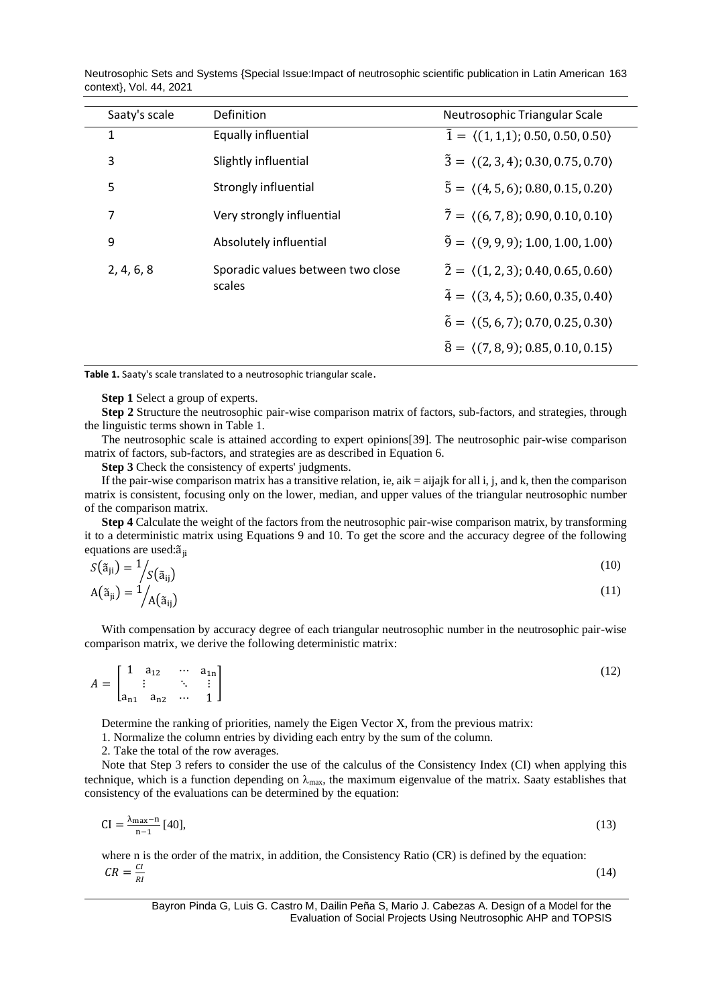Neutrosophic Sets and Systems {Special Issue:Impact of neutrosophic scientific publication in Latin American 163 context}, Vol. 44, 2021

|  | Saaty's scale | Definition                                                | Neutrosophic Triangular Scale                             |
|--|---------------|-----------------------------------------------------------|-----------------------------------------------------------|
|  | 1             | Equally influential                                       | $\tilde{1} = \langle (1,1,1); 0.50, 0.50, 0.50 \rangle$   |
|  | 3             | Slightly influential                                      | $\bar{3} = \langle (2,3,4); 0.30, 0.75, 0.70 \rangle$     |
|  | 5             | Strongly influential                                      | $\tilde{5} = \langle (4, 5, 6); 0.80, 0.15, 0.20 \rangle$ |
|  | 7             | Very strongly influential                                 | $\tilde{7} = \langle (6, 7, 8), 0.90, 0.10, 0.10 \rangle$ |
|  | 9             | Absolutely influential                                    | $\tilde{9} = \langle (9, 9, 9); 1.00, 1.00, 1.00 \rangle$ |
|  | 2, 4, 6, 8    | Sporadic values between two close                         | $\tilde{2} = \langle (1, 2, 3), 0.40, 0.65, 0.60 \rangle$ |
|  | scales        | $\tilde{4} = \langle (3, 4, 5); 0.60, 0.35, 0.40 \rangle$ |                                                           |
|  |               |                                                           | $\tilde{6} = \langle (5, 6, 7); 0.70, 0.25, 0.30 \rangle$ |
|  |               |                                                           | $\tilde{8} = \langle (7,8,9); 0.85, 0.10, 0.15 \rangle$   |
|  |               |                                                           |                                                           |

**Table 1.** Saaty's scale translated to a neutrosophic triangular scale.

**Step 1** Select a group of experts.

**Step 2** Structure the neutrosophic pair-wise comparison matrix of factors, sub-factors, and strategies, through the linguistic terms shown in Table 1.

The neutrosophic scale is attained according to expert opinions[\[39\]](#page-12-6). The neutrosophic pair-wise comparison matrix of factors, sub-factors, and strategies are as described in Equation 6.

**Step 3** Check the consistency of experts' judgments.

If the pair-wise comparison matrix has a transitive relation, ie, aik  $=$  aijajk for all i, j, and k, then the comparison matrix is consistent, focusing only on the lower, median, and upper values of the triangular neutrosophic number of the comparison matrix.

**Step 4** Calculate the weight of the factors from the neutrosophic pair-wise comparison matrix, by transforming it to a deterministic matrix using Equations 9 and 10. To get the score and the accuracy degree of the following equations are used: $\tilde{a}_{ii}$ 

$$
S(\tilde{a}_{ji}) = \frac{1}{S(\tilde{a}_{ij})}
$$
  
\n
$$
A(\tilde{a}_{ji}) = \frac{1}{A(\tilde{a}_{ij})}
$$
\n(10)

With compensation by accuracy degree of each triangular neutrosophic number in the neutrosophic pair-wise comparison matrix, we derive the following deterministic matrix:

$$
A = \begin{bmatrix} 1 & a_{12} & \cdots & a_{1n} \\ \vdots & \ddots & \vdots \\ a_{n1} & a_{n2} & \cdots & 1 \end{bmatrix}
$$
 (12)

Determine the ranking of priorities, namely the Eigen Vector X, from the previous matrix:

1. Normalize the column entries by dividing each entry by the sum of the column.

2. Take the total of the row averages.

Note that Step 3 refers to consider the use of the calculus of the Consistency Index (CI) when applying this technique, which is a function depending on  $\lambda_{\text{max}}$ , the maximum eigenvalue of the matrix. Saaty establishes that consistency of the evaluations can be determined by the equation:

$$
CI = \frac{\lambda_{\text{max}} - n}{n - 1} \, [40],\tag{13}
$$

where n is the order of the matrix, in addition, the Consistency Ratio (CR) is defined by the equation:  $CR = \frac{CI}{DI}$ RI

(14)

Bayron Pinda G, Luis G. Castro M, Dailin Peña S, Mario J. Cabezas A. Design of a Model for the Evaluation of Social Projects Using Neutrosophic AHP and TOPSIS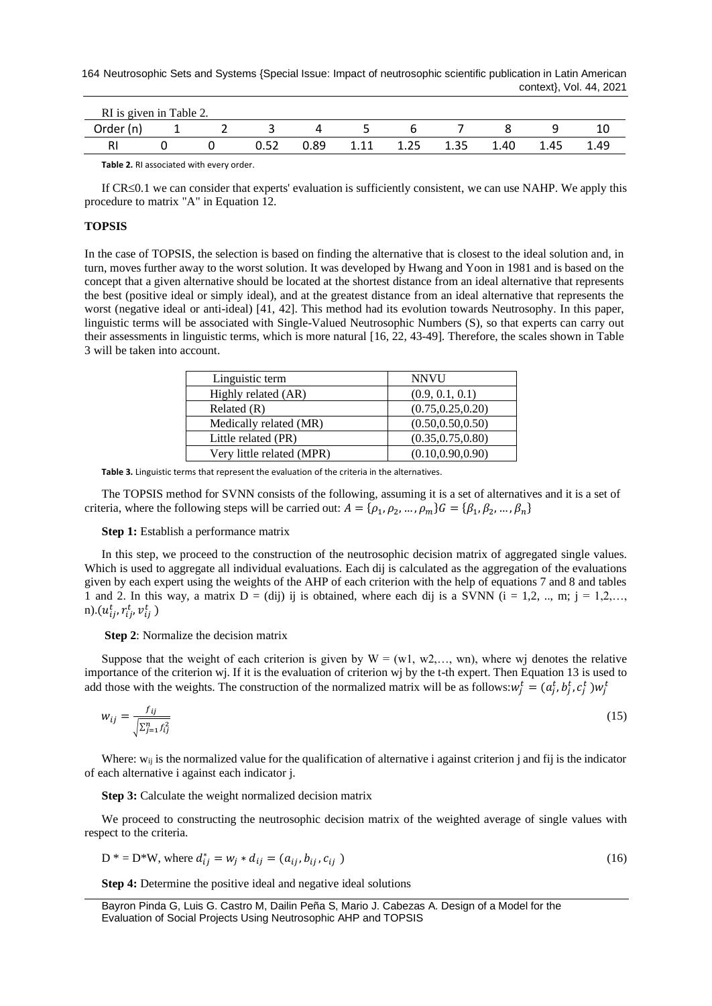| RI is given in Table 2. |  |      |      |      |      |      |      |      |      |
|-------------------------|--|------|------|------|------|------|------|------|------|
| Order (n)               |  |      |      |      |      |      |      |      |      |
|                         |  | 0.52 | 0.89 | 1.11 | 1.25 | 1.35 | 1.40 | 1.45 | 1.49 |

**Table 2.** RI associated with every order.

If  $CR \leq 0.1$  we can consider that experts' evaluation is sufficiently consistent, we can use NAHP. We apply this procedure to matrix "A" in Equation 12.

## **TOPSIS**

In the case of TOPSIS, the selection is based on finding the alternative that is closest to the ideal solution and, in turn, moves further away to the worst solution. It was developed by Hwang and Yoon in 1981 and is based on the concept that a given alternative should be located at the shortest distance from an ideal alternative that represents the best (positive ideal or simply ideal), and at the greatest distance from an ideal alternative that represents the worst (negative ideal or anti-ideal) [\[41,](#page-12-8) [42\]](#page-12-9). This method had its evolution towards Neutrosophy. In this paper, linguistic terms will be associated with Single-Valued Neutrosophic Numbers (S), so that experts can carry out their assessments in linguistic terms, which is more natural [\[16,](#page-11-8) [22,](#page-11-9) [43-49\]](#page-12-10). Therefore, the scales shown in Table 3 will be taken into account.

| Linguistic term           | <b>NNVU</b>        |
|---------------------------|--------------------|
| Highly related (AR)       | (0.9, 0.1, 0.1)    |
| Related $(R)$             | (0.75, 0.25, 0.20) |
| Medically related (MR)    | (0.50, 0.50, 0.50) |
| Little related (PR)       | (0.35, 0.75, 0.80) |
| Very little related (MPR) | (0.10, 0.90, 0.90) |

**Table 3.** Linguistic terms that represent the evaluation of the criteria in the alternatives.

The TOPSIS method for SVNN consists of the following, assuming it is a set of alternatives and it is a set of criteria, where the following steps will be carried out:  $A = \{\rho_1, \rho_2, ..., \rho_m\}$   $G = \{\beta_1, \beta_2, ..., \beta_n\}$ 

#### **Step 1:** Establish a performance matrix

In this step, we proceed to the construction of the neutrosophic decision matrix of aggregated single values. Which is used to aggregate all individual evaluations. Each dij is calculated as the aggregation of the evaluations given by each expert using the weights of the AHP of each criterion with the help of equations 7 and 8 and tables 1 and 2. In this way, a matrix  $D = (dij)$  ij is obtained, where each dij is a SVNN  $(i = 1, 2, ..., m; j = 1, 2, ...$ n). $(u_{ij}^t, r_{ij}^t, v_{ij}^t)$ 

**Step 2**: Normalize the decision matrix

Suppose that the weight of each criterion is given by  $W = (w1, w2,..., wn)$ , where wj denotes the relative importance of the criterion wj. If it is the evaluation of criterion wj by the t-th expert. Then Equation 13 is used to add those with the weights. The construction of the normalized matrix will be as follows:  $w_j^t = (a_j^t, b_j^t, c_j^t) w_j^t$ 

$$
w_{ij} = \frac{f_{ij}}{\sqrt{\sum_{j=1}^{n} f_{ij}^2}}
$$
\n<sup>(15)</sup>

Where:  $w_{ij}$  is the normalized value for the qualification of alternative i against criterion j and fij is the indicator of each alternative i against each indicator j.

**Step 3:** Calculate the weight normalized decision matrix

We proceed to constructing the neutrosophic decision matrix of the weighted average of single values with respect to the criteria.

$$
D^* = D^*W, \text{ where } d_{ij}^* = w_j * d_{ij} = (a_{ij}, b_{ij}, c_{ij})
$$
 (16)

**Step 4:** Determine the positive ideal and negative ideal solutions

Bayron Pinda G, Luis G. Castro M, Dailin Peña S, Mario J. Cabezas A. Design of a Model for the Evaluation of Social Projects Using Neutrosophic AHP and TOPSIS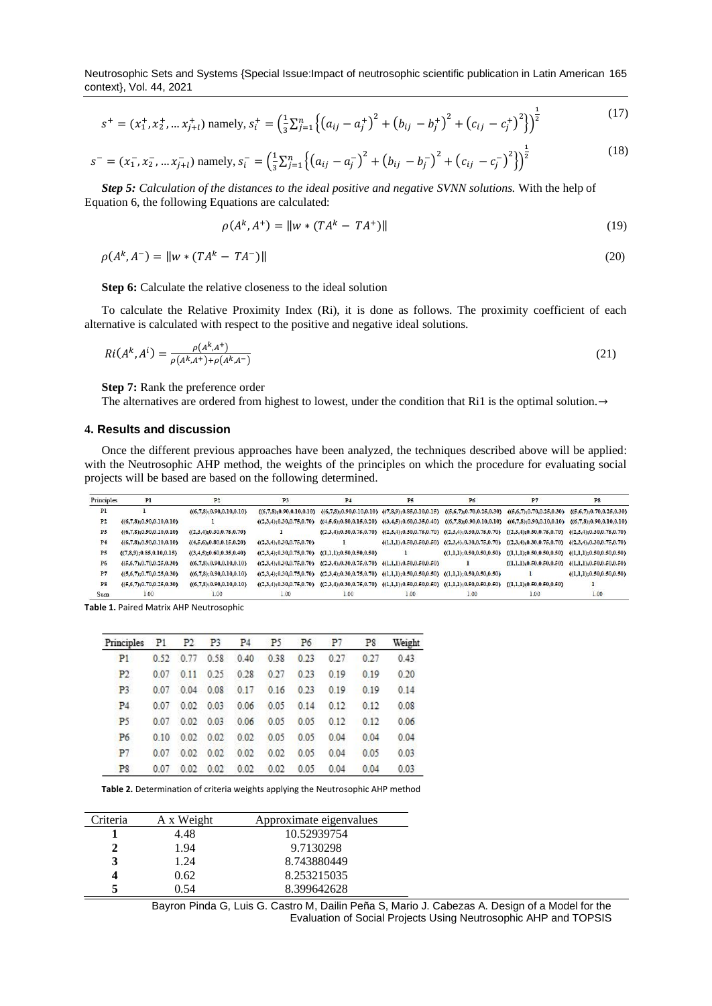Neutrosophic Sets and Systems {Special Issue:Impact of neutrosophic scientific publication in Latin American 165 context}, Vol. 44, 2021

$$
s^{+} = (x_{1}^{+}, x_{2}^{+}, \dots x_{j+l}^{+}) \text{ namely, } s_{i}^{+} = \left(\frac{1}{3} \sum_{j=1}^{n} \left\{ \left(a_{ij} - a_{j}^{+}\right)^{2} + \left(b_{ij} - b_{j}^{+}\right)^{2} + \left(c_{ij} - c_{j}^{+}\right)^{2} \right\} \right)^{\frac{1}{2}}
$$
\n<sup>(17)</sup>

$$
s^{-} = (x_1^{-}, x_2^{-}, \dots x_{j+l}^{-}) \text{ namely, } s_i^{-} = \left(\frac{1}{3} \sum_{j=1}^n \left\{ (a_{ij} - a_j^{-})^2 + (b_{ij} - b_j^{-})^2 + (c_{ij} - c_j^{-})^2 \right\} \right)^{\frac{1}{2}}
$$
(18)

*Step 5: Calculation of the distances to the ideal positive and negative SVNN solutions.* With the help of Equation 6, the following Equations are calculated:

$$
\rho(A^k, A^+) = \|w * (TA^k - TA^+)\|
$$
\n(19)

 $\rho(A^k, A^-) = ||w * (TA^k - TA^-)||$  (20)

**Step 6:** Calculate the relative closeness to the ideal solution

To calculate the Relative Proximity Index (Ri), it is done as follows. The proximity coefficient of each alternative is calculated with respect to the positive and negative ideal solutions.

$$
Ri(A^k, A^i) = \frac{\rho(A^k, A^+)}{\rho(A^k, A^+) + \rho(A^k, A^-)}
$$
(21)

**Step 7:** Rank the preference order

The alternatives are ordered from highest to lowest, under the condition that Ri1 is the optimal solution.→

### **4. Results and discussion**

Once the different previous approaches have been analyzed, the techniques described above will be applied: with the Neutrosophic AHP method, the weights of the principles on which the procedure for evaluating social projects will be based are based on the following determined.

| Principles     | Pl                             | P <sub>2</sub>              | P3                        | P <sub>4</sub>                                                                                       | P5           | P6   | P7                                                                                                                                                                                | P8                         |
|----------------|--------------------------------|-----------------------------|---------------------------|------------------------------------------------------------------------------------------------------|--------------|------|-----------------------------------------------------------------------------------------------------------------------------------------------------------------------------------|----------------------------|
| P1             |                                | (6,7,8); 0.90, 0.10, 0.10)  |                           |                                                                                                      |              |      | $((6,7,8);0.90,0.10,0.10)$ $((6,7,8);0.90,0.10,0.10)$ $((7,8,9);0.85,0.10,0.15)$ $((5,6,7);0.70,0.25,0.30)$ $((5,6,7);0.70,0.25,0.30)$ $((5,6,7);0.70,0.25,0.30)$                 |                            |
| P2             | ((6,7,8); 0.90, 0.10, 0.10)    |                             |                           |                                                                                                      |              |      | $(2,3,4);0.30,0.75,0.70$ $(4,5,6);0.80,0.15,0.20$ $(3,4,5);0.60,0.35,0.40$ $(6,7,8);0.90,0.10,0.10$ $(6,7,8);0.90,0.10,0.10)$ $(6,7,8);0.90,0.10,0.10)$ $(6,7,8);0.90,0.10,0.10)$ |                            |
| P <sub>3</sub> | ((6,7,8); 0.90, 0.10, 0.10)    | ((2,3,4); 0.30, 0.75, 0.70) |                           |                                                                                                      |              |      | $(2,3,4);0.30,0.75,0.70$ $(2,3,4);0.30,0.75,0.70$ $(2,3,4);0.30,0.75,0.70$ $(2,3,4);0.30,0.75,0.70$ $(2,3,4);0.30,0.75,0.70$                                                      |                            |
| P <sub>4</sub> | ((6,7,8); 0.90, 0.10, 0.10)    | ((4,5,6); 0.80, 0.15, 0.20) | (2,3,4); 0.30, 0.75, 0.70 |                                                                                                      |              |      | $((1,1,1);0.50,0.50,0.50)$ $((2,3,4);0.30,0.75,0.70)$ $((2,3,4);0.30,0.75,0.70)$ $((2,3,4);0.30,0.75,0.70)$                                                                       |                            |
| P5             | ( (7, 8, 9), 0.85, 0.10, 0.15) | ((3,4,5); 0.60, 0.35, 0.40) |                           | $((2,3,4); 0.30, 0.75, 0.70)$ $((1,1,1); 0.50, 0.50, 0.50)$                                          | $\mathbf{1}$ |      | $(1,1,1); 0.50, 0.50, 0.50$ $(1,1,1); 0.50, 0.50, 0.50$ $(1,1,1); 0.50, 0.50, 0.50)$                                                                                              |                            |
| <b>P6</b>      | ((5,6,7); 0.70, 0.25, 0.30)    | (6,7,8); 0.90, 0.10, 0.10)  |                           | $((2,3,4);0.30,0.75,0.70)$ $((2,3,4);0.30,0.75,0.70)$ $((1,1,1);0.50,0.50,0.50)$                     |              |      | $( (1,1,1); 0.50, 0.50, 0.50 )$ $( (1,1,1); 0.50, 0.50, 0.50 )$                                                                                                                   |                            |
| P7             | ((5,6,7); 0.70, 0.25, 0.30)    | (6,7,8); 0.90, 0.10, 0.10)  |                           | $(2,3,4);0.30,0.75,0.70$ $(2,3,4);0.30,0.75,0.70$ $(1,1,1);0.50,0.50,0.50$ $(1,1,1);0.50,0.50,0.50)$ |              |      | $\mathbf{r}$                                                                                                                                                                      | (1,1,1); 0.50, 0.50, 0.50) |
| <b>P8</b>      | ((5,6,7); 0.70, 0.25, 0.30)    | (6,7,8); 0.90, 0.10, 0.10)  |                           |                                                                                                      |              |      | $(2,3,4);0.30,0.75,0.70$ $(2,3,4);0.30,0.75,0.70$ $(1,1,1);0.50,0.50,0.50$ $(1,1,1);0.50,0.50,0.50$ $(1,1,1);0.50,0.50,0.50$                                                      |                            |
| Sum            | 1.00                           | 1.00                        | 1.00                      | 1.00                                                                                                 | 1.00         | 1.00 | 1.00                                                                                                                                                                              | 1.00                       |

**Table 1.** Paired Matrix AHP Neutrosophic

| Principles P1 P2 P3 P4 P5 P6 |      |             |                     |                                    |             |      | P7   | <b>P8</b> | Weight |
|------------------------------|------|-------------|---------------------|------------------------------------|-------------|------|------|-----------|--------|
| P1                           |      |             | 0.52 0.77 0.58 0.40 |                                    | 0.38        | 0.23 | 0.27 | 0.27      | 0.43   |
| P2                           | 0.07 | 0.11        |                     | $0.25$ $0.28$ $0.27$               |             | 0.23 | 0.19 | 0.19      | 0.20   |
| P <sub>3</sub>               | 0.07 | $0.04$ 0.08 |                     | 0.17                               | 0.16        | 0.23 | 0.19 | 0.19      | 0.14   |
| <b>P4</b>                    | 0.07 | 0.02        | 0.03                |                                    | $0.06$ 0.05 | 0.14 | 012  | 0.12      | 0.08   |
| P <sub>5</sub>               | 0.07 | 0.02        |                     | $0.03$ 0.06                        | 0.05        | 0.05 | 0.12 | 0.12      | 0.06   |
| P <sub>6</sub>               |      |             |                     | $0.10$ $0.02$ $0.02$ $0.02$ $0.05$ |             | 0.05 | 0.04 | 0.04      | 0.04   |
| P7                           | 0.07 |             |                     | $0.02$ $0.02$ $0.02$ $0.02$        |             | 0.05 | 0.04 | 0.05      | 0.03   |
| P <sub>8</sub>               | 0.07 |             |                     | $0.02$ $0.02$ $0.02$ $0.02$        |             | 0.05 | 0.04 | 0.04      | 0.03   |

**Table 2.** Determination of criteria weights applying the Neutrosophic AHP method

| Criteria | A x Weight | Approximate eigenvalues |
|----------|------------|-------------------------|
|          | 4.48       | 10.52939754             |
|          | 1.94       | 9.7130298               |
|          | 1.24       | 8.743880449             |
|          | 0.62       | 8.253215035             |
|          | () 54      | 8.399642628             |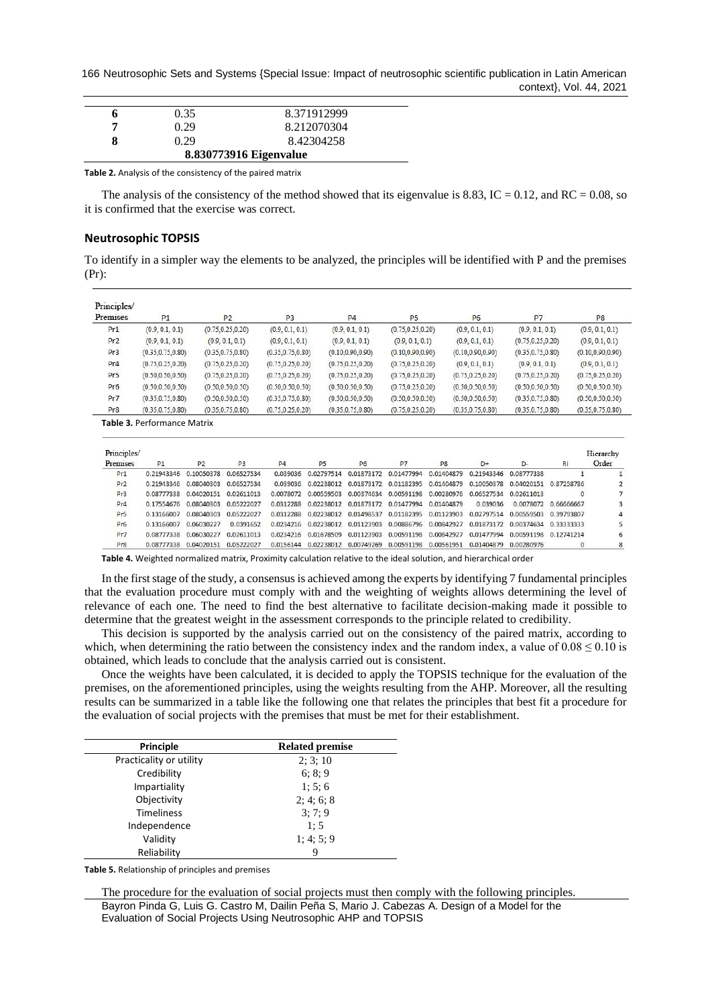166 Neutrosophic Sets and Systems {Special Issue: Impact of neutrosophic scientific publication in Latin American context}, Vol. 44, 2021

|                        | 0.35 | 8.371912999 |  |  |  |  |
|------------------------|------|-------------|--|--|--|--|
| 7                      | 0.29 | 8.212070304 |  |  |  |  |
| x                      | 0.29 | 8.42304258  |  |  |  |  |
| 8.830773916 Eigenvalue |      |             |  |  |  |  |

**Table 2.** Analysis of the consistency of the paired matrix

The analysis of the consistency of the method showed that its eigenvalue is 8.83, IC = 0.12, and RC = 0.08, so it is confirmed that the exercise was correct.

#### **Neutrosophic TOPSIS**

To identify in a simpler way the elements to be analyzed, the principles will be identified with P and the premises (Pr):

| Premises        | P1                 | <b>P2</b>          | P <sub>3</sub>     | P <sub>4</sub>     | P <sub>5</sub>     | P <sub>6</sub>     | P7                 | P <sub>8</sub>     |
|-----------------|--------------------|--------------------|--------------------|--------------------|--------------------|--------------------|--------------------|--------------------|
| Pr1             | (0.9, 0.1, 0.1)    | (0.75, 0.25, 0.20) | (0.9, 0.1, 0.1)    | (0.9, 0.1, 0.1)    | (0.75, 0.25, 0.20) | (0.9, 0.1, 0.1)    | (0.9, 0.1, 0.1)    | (0.9, 0.1, 0.1)    |
| Pr <sub>2</sub> | (0.9, 0.1, 0.1)    | (0.9, 0.1, 0.1)    | (0.9, 0.1, 0.1)    | (0.9, 0.1, 0.1)    | (0.9, 0.1, 0.1)    | (0.9, 0.1, 0.1)    | (0.75, 0.25, 0.20) | (0.9, 0.1, 0.1)    |
| Pr <sub>3</sub> | (0.35, 0.75, 0.80) | (0.35, 0.75, 0.80) | (0.35, 0.75, 0.80) | (0.10, 0.90, 0.90) | (0.10, 0.90, 0.90) | (0.10, 0.90, 0.90) | (0.35, 0.75, 0.80) | (0.10, 0.90, 0.90) |
| Pr4             | (0.75, 0.25, 0.20) | (0.75, 0.25, 0.20) | (0.75, 0.25, 0.20) | (0.75, 0.25, 0.20) | (0.75, 0.25, 0.20) | (0.9, 0.1, 0.1)    | (0.9, 0.1, 0.1)    | (0.9, 0.1, 0.1)    |
| Pr <sub>5</sub> | (0.50, 0.50, 0.50) | (0.75, 0.25, 0.20) | (0.75, 0.25, 0.20) | (0.75, 0.25, 0.20) | (0.75, 0.25, 0.20) | (0.75, 0.25, 0.20) | (0.75, 0.25, 0.20) | (0.75, 0.25, 0.20) |
| Pr6             | (0.50, 0.50, 0.50) | (0.50, 0.50, 0.50) | (0.50, 0.50, 0.50) | (0.50, 0.50, 0.50) | (0.75, 0.25, 0.20) | (0.50, 0.50, 0.50) | (0.50, 0.50, 0.50) | (0.50, 0.50, 0.50) |
| Pr7             | (0.35, 0.75, 0.80) | (0.50, 0.50, 0.50) | (0.35, 0.75, 0.80) | (0.50, 0.50, 0.50) | (0.50, 0.50, 0.50) | (0.50, 0.50, 0.50) | (0.35, 0.75, 0.80) | (0.50, 0.50, 0.50) |
| Pr8             | (0.35, 0.75, 0.80) | (0.35, 0.75, 0.80) | (0.75, 0.25, 0.20) | (0.35, 0.75, 0.80) | (0.75, 0.25, 0.20) | (0.35, 0.75, 0.80) | (0.35, 0.75, 0.80) | (0.35, 0.75, 0.80) |

**Table 3.** Performance Matrix

| Principles/<br>Premises | P1         | P <sub>2</sub>                     | P <sub>3</sub> | <b>P4</b> | <b>P5</b>                                                                         | P <sub>6</sub> | P7         | P <sub>8</sub> | $D+$                  | $D -$                 | <b>Ri</b>            | Hierarchy<br>Order |
|-------------------------|------------|------------------------------------|----------------|-----------|-----------------------------------------------------------------------------------|----------------|------------|----------------|-----------------------|-----------------------|----------------------|--------------------|
| Pr1                     |            | 0.21943346  0.10050378  0.06527534 |                |           | 0.039036 0.02797514 0.01873172 0.01477994                                         |                |            | 0.01404879     | 0.21943346 0.08777338 |                       |                      |                    |
| Pr2                     |            | 0.21943346 0.08040303              | 0.06527534     |           | 0.039036 0.02238012 0.01873172 0.01182395                                         |                |            |                | 0.01404879 0.10050378 | 0.04020151 0.87258786 |                      |                    |
| Pr3                     |            | 0.08777338  0.04020151  0.02611013 |                |           | 0.0078072 0.00559503 0.00374634 0.00591198                                        |                |            | 0.00280976     | 0.06527534 0.02611013 |                       |                      |                    |
| Pr <sub>4</sub>         | 0.17554676 | 0.08040303                         | 0.05222027     |           | 0.0312288  0.02238012  0.01873172  0.01477994                                     |                |            | 0.01404879     | 0.039036              |                       | 0.0078072 0.66666667 | 3                  |
| Pr <sub>5</sub>         | 0.13166007 | 0.08040303                         | 0.05222027     |           | 0.0312288  0.02238012  0.01498537  0.01182395  0.01123903  0.02797514  0.00559503 |                |            |                |                       |                       | 0.39793807           | 4                  |
| Pr6                     | 0.13166007 | 0.06030227                         | 0.0391652      |           | 0.0234216  0.02238012  0.01123903  0.00886796                                     |                |            | 0.00842927     | 0.01873172            | 0.00374634            | 0.33333333           |                    |
| Pr7                     | 0.08777338 | 0.06030227                         | 0.02611013     |           | 0.0234216 0.01678509 0.01123903                                                   |                | 0.00591198 | 0.00842927     | 0.01477994            | 0.00591198 0.12741214 |                      | 6                  |
| Pr <sub>8</sub>         | 0.08777338 | 0.04020151                         | 0.05222027     | 0.0156144 | 0.02238012 0.00749269                                                             |                | 0.00591198 | 0.00561951     | 0.01404879 0.00280976 |                       |                      | 8                  |

**Table 4.** Weighted normalized matrix, Proximity calculation relative to the ideal solution, and hierarchical order

In the first stage of the study, a consensus is achieved among the experts by identifying 7 fundamental principles that the evaluation procedure must comply with and the weighting of weights allows determining the level of relevance of each one. The need to find the best alternative to facilitate decision-making made it possible to determine that the greatest weight in the assessment corresponds to the principle related to credibility.

This decision is supported by the analysis carried out on the consistency of the paired matrix, according to which, when determining the ratio between the consistency index and the random index, a value of  $0.08 \le 0.10$  is obtained, which leads to conclude that the analysis carried out is consistent.

Once the weights have been calculated, it is decided to apply the TOPSIS technique for the evaluation of the premises, on the aforementioned principles, using the weights resulting from the AHP. Moreover, all the resulting results can be summarized in a table like the following one that relates the principles that best fit a procedure for the evaluation of social projects with the premises that must be met for their establishment.

| Principle               | <b>Related premise</b> |
|-------------------------|------------------------|
| Practicality or utility | 2; 3; 10               |
| Credibility             | 6: 8: 9                |
| Impartiality            | 1; 5; 6                |
| Objectivity             | 2:4:6:8                |
| <b>Timeliness</b>       | 3:7:9                  |
| Independence            | 1:5                    |
| Validity                | 1; 4; 5; 9             |
| Reliability             | 9                      |

**Table 5.** Relationship of principles and premises

The procedure for the evaluation of social projects must then comply with the following principles.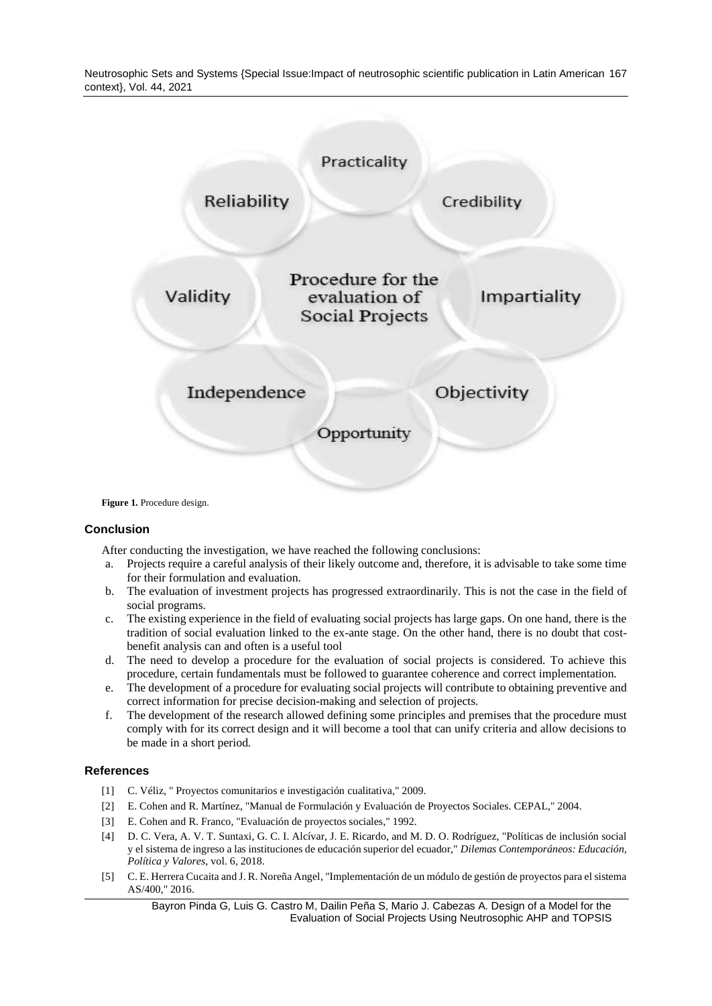Neutrosophic Sets and Systems {Special Issue:Impact of neutrosophic scientific publication in Latin American 167 context}, Vol. 44, 2021



Figure 1. Procedure design.

#### **Conclusion**

After conducting the investigation, we have reached the following conclusions:

- a. Projects require a careful analysis of their likely outcome and, therefore, it is advisable to take some time for their formulation and evaluation.
- b. The evaluation of investment projects has progressed extraordinarily. This is not the case in the field of social programs.
- c. The existing experience in the field of evaluating social projects has large gaps. On one hand, there is the tradition of social evaluation linked to the ex-ante stage. On the other hand, there is no doubt that costbenefit analysis can and often is a useful tool
- d. The need to develop a procedure for the evaluation of social projects is considered. To achieve this procedure, certain fundamentals must be followed to guarantee coherence and correct implementation.
- e. The development of a procedure for evaluating social projects will contribute to obtaining preventive and correct information for precise decision-making and selection of projects.
- f. The development of the research allowed defining some principles and premises that the procedure must comply with for its correct design and it will become a tool that can unify criteria and allow decisions to be made in a short period.

#### **References**

- <span id="page-10-0"></span>[1] C. Véliz, " Proyectos comunitarios e investigación cualitativa," 2009.
- <span id="page-10-1"></span>[2] E. Cohen and R. Martínez, "Manual de Formulación y Evaluación de Proyectos Sociales. CEPAL," 2004.
- <span id="page-10-2"></span>[3] E. Cohen and R. Franco, "Evaluación de proyectos sociales," 1992.
- [4] D. C. Vera, A. V. T. Suntaxi, G. C. I. Alcívar, J. E. Ricardo, and M. D. O. Rodríguez, "Políticas de inclusión social y el sistema de ingreso a las instituciones de educación superior del ecuador," *Dilemas Contemporáneos: Educación, Política y Valores,* vol. 6, 2018.
- [5] C. E. Herrera Cucaita and J. R. Noreña Angel, "Implementación de un módulo de gestión de proyectos para el sistema AS/400," 2016.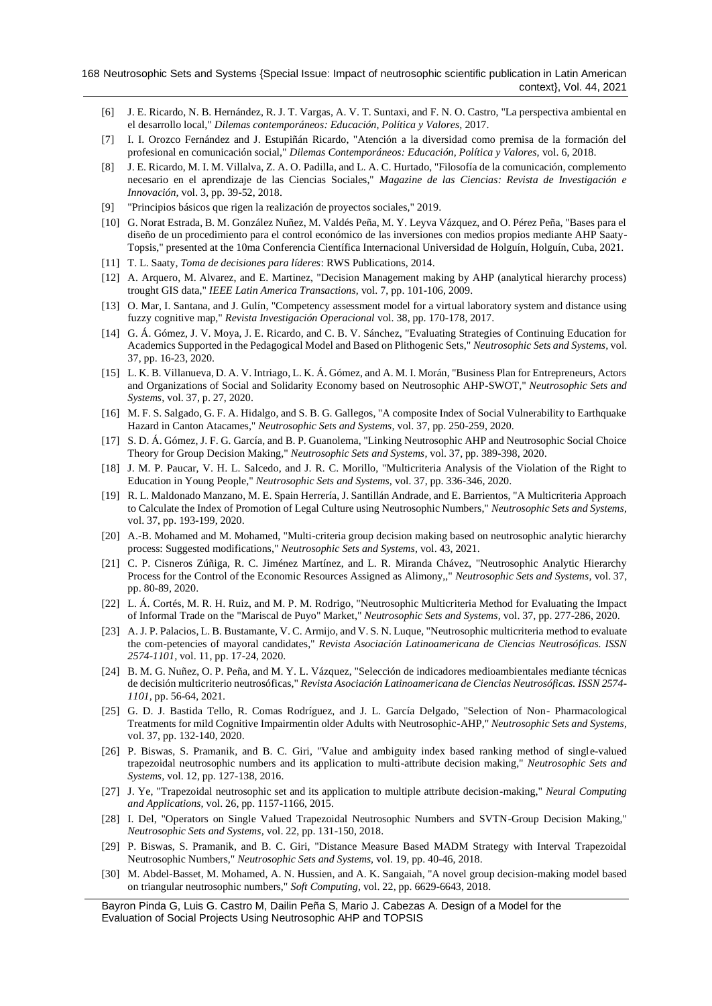- [6] J. E. Ricardo, N. B. Hernández, R. J. T. Vargas, A. V. T. Suntaxi, and F. N. O. Castro, "La perspectiva ambiental en el desarrollo local," *Dilemas contemporáneos: Educación, Política y Valores,* 2017.
- [7] I. I. Orozco Fernández and J. Estupiñán Ricardo, "Atención a la diversidad como premisa de la formación del profesional en comunicación social," *Dilemas Contemporáneos: Educación, Política y Valores,* vol. 6, 2018.
- [8] J. E. Ricardo, M. I. M. Villalva, Z. A. O. Padilla, and L. A. C. Hurtado, "Filosofía de la comunicación, complemento necesario en el aprendizaje de las Ciencias Sociales," *Magazine de las Ciencias: Revista de Investigación e Innovación,* vol. 3, pp. 39-52, 2018.
- <span id="page-11-0"></span>[9] "Principios básicos que rigen la realización de proyectos sociales," 2019.
- <span id="page-11-1"></span>[10] G. Norat Estrada, B. M. González Nuñez, M. Valdés Peña, M. Y. Leyva Vázquez, and O. Pérez Peña, "Bases para el diseño de un procedimiento para el control económico de las inversiones con medios propios mediante AHP Saaty-Topsis," presented at the 10ma Conferencia Científica Internacional Universidad de Holguín, Holguín, Cuba, 2021.
- <span id="page-11-2"></span>[11] T. L. Saaty, *Toma de decisiones para líderes*: RWS Publications, 2014.
- <span id="page-11-3"></span>[12] A. Arquero, M. Alvarez, and E. Martinez, "Decision Management making by AHP (analytical hierarchy process) trought GIS data," *IEEE Latin America Transactions,* vol. 7, pp. 101-106, 2009.
- <span id="page-11-7"></span>[13] O. Mar, I. Santana, and J. Gulín, "Competency assessment model for a virtual laboratory system and distance using fuzzy cognitive map," *Revista Investigación Operacional* vol. 38, pp. 170-178, 2017.
- [14] G. Á. Gómez, J. V. Moya, J. E. Ricardo, and C. B. V. Sánchez, "Evaluating Strategies of Continuing Education for Academics Supported in the Pedagogical Model and Based on Plithogenic Sets," *Neutrosophic Sets and Systems,* vol. 37, pp. 16-23, 2020.
- [15] L. K. B. Villanueva, D. A. V. Intriago, L. K. Á. Gómez, and A. M. I. Morán, "Business Plan for Entrepreneurs, Actors and Organizations of Social and Solidarity Economy based on Neutrosophic AHP-SWOT," *Neutrosophic Sets and Systems,* vol. 37, p. 27, 2020.
- <span id="page-11-8"></span>[16] M. F. S. Salgado, G. F. A. Hidalgo, and S. B. G. Gallegos, "A composite Index of Social Vulnerability to Earthquake Hazard in Canton Atacames," *Neutrosophic Sets and Systems,* vol. 37, pp. 250-259, 2020.
- [17] S. D. Á. Gómez, J. F. G. García, and B. P. Guanolema, "Linking Neutrosophic AHP and Neutrosophic Social Choice Theory for Group Decision Making," *Neutrosophic Sets and Systems,* vol. 37, pp. 389-398, 2020.
- [18] J. M. P. Paucar, V. H. L. Salcedo, and J. R. C. Morillo, "Multicriteria Analysis of the Violation of the Right to Education in Young People," *Neutrosophic Sets and Systems,* vol. 37, pp. 336-346, 2020.
- [19] R. L. Maldonado Manzano, M. E. Spain Herrería, J. Santillán Andrade, and E. Barrientos, "A Multicriteria Approach to Calculate the Index of Promotion of Legal Culture using Neutrosophic Numbers," *Neutrosophic Sets and Systems,*  vol. 37, pp. 193-199, 2020.
- [20] A.-B. Mohamed and M. Mohamed, "Multi-criteria group decision making based on neutrosophic analytic hierarchy process: Suggested modifications," *Neutrosophic Sets and Systems,* vol. 43, 2021.
- [21] C. P. Cisneros Zúñiga, R. C. Jiménez Martínez, and L. R. Miranda Chávez, "Neutrosophic Analytic Hierarchy Process for the Control of the Economic Resources Assigned as Alimony,," *Neutrosophic Sets and Systems,* vol. 37, pp. 80-89, 2020.
- <span id="page-11-9"></span>[22] L. Á. Cortés, M. R. H. Ruiz, and M. P. M. Rodrigo, "Neutrosophic Multicriteria Method for Evaluating the Impact of Informal Trade on the "Mariscal de Puyo" Market," *Neutrosophic Sets and Systems,* vol. 37, pp. 277-286, 2020.
- [23] A. J. P. Palacios, L. B. Bustamante, V. C. Armijo, and V. S. N. Luque, "Neutrosophic multicriteria method to evaluate the com-petencies of mayoral candidates," *Revista Asociación Latinoamericana de Ciencias Neutrosóficas. ISSN 2574-1101,* vol. 11, pp. 17-24, 2020.
- [24] B. M. G. Nuñez, O. P. Peña, and M. Y. L. Vázquez, "Selección de indicadores medioambientales mediante técnicas de decisión multicriterio neutrosóficas," *Revista Asociación Latinoamericana de Ciencias Neutrosóficas. ISSN 2574- 1101,* pp. 56-64, 2021.
- [25] G. D. J. Bastida Tello, R. Comas Rodríguez, and J. L. García Delgado, "Selection of Non- Pharmacological Treatments for mild Cognitive Impairmentin older Adults with Neutrosophic-AHP," *Neutrosophic Sets and Systems,*  vol. 37, pp. 132-140, 2020.
- <span id="page-11-4"></span>[26] P. Biswas, S. Pramanik, and B. C. Giri, "Value and ambiguity index based ranking method of single-valued trapezoidal neutrosophic numbers and its application to multi-attribute decision making," *Neutrosophic Sets and Systems,* vol. 12, pp. 127-138, 2016.
- <span id="page-11-5"></span>[27] J. Ye, "Trapezoidal neutrosophic set and its application to multiple attribute decision-making," *Neural Computing and Applications,* vol. 26, pp. 1157-1166, 2015.
- [28] I. Del, "Operators on Single Valued Trapezoidal Neutrosophic Numbers and SVTN-Group Decision Making," *Neutrosophic Sets and Systems,* vol. 22, pp. 131-150, 2018.
- [29] P. Biswas, S. Pramanik, and B. C. Giri, "Distance Measure Based MADM Strategy with Interval Trapezoidal Neutrosophic Numbers," *Neutrosophic Sets and Systems,* vol. 19, pp. 40-46, 2018.
- <span id="page-11-6"></span>[30] M. Abdel-Basset, M. Mohamed, A. N. Hussien, and A. K. Sangaiah, "A novel group decision-making model based on triangular neutrosophic numbers," *Soft Computing,* vol. 22, pp. 6629-6643, 2018.